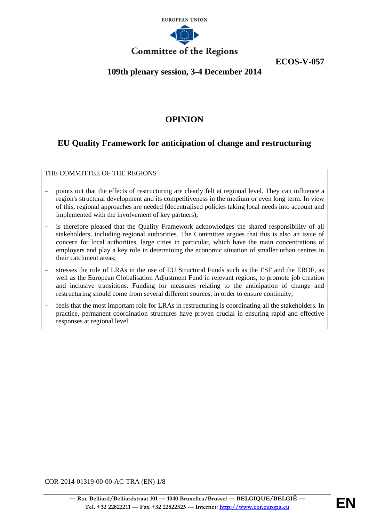

**ECOS-V-057**

# **109th plenary session, 3-4 December 2014**

## **OPINION**

# **EU Quality Framework for anticipation of change and restructuring**

THE COMMITTEE OF THE REGIONS

- points out that the effects of restructuring are clearly felt at regional level. They can influence a region's structural development and its competitiveness in the medium or even long term. In view of this, regional approaches are needed (decentralised policies taking local needs into account and implemented with the involvement of key partners);
- is therefore pleased that the Quality Framework acknowledges the shared responsibility of all stakeholders, including regional authorities. The Committee argues that this is also an issue of concern for local authorities, large cities in particular, which have the main concentrations of employers and play a key role in determining the economic situation of smaller urban centres in their catchment areas;
- stresses the role of LRAs in the use of EU Structural Funds such as the ESF and the ERDF, as well as the European Globalisation Adjustment Fund in relevant regions, to promote job creation and inclusive transitions. Funding for measures relating to the anticipation of change and restructuring should come from several different sources, in order to ensure continuity;
- feels that the most important role for LRAs in restructuring is coordinating all the stakeholders. In practice, permanent coordination structures have proven crucial in ensuring rapid and effective responses at regional level.

COR-2014-01319-00-00-AC-TRA (EN) 1/8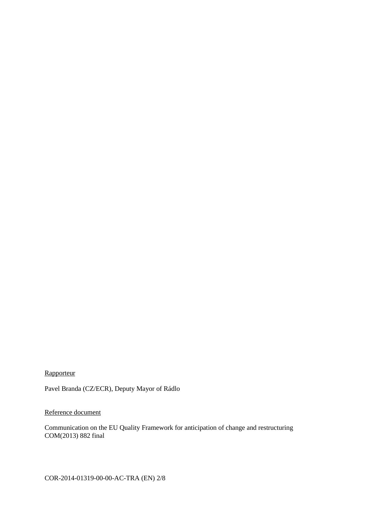## **Rapporteur**

Pavel Branda (CZ/ECR), Deputy Mayor of Rádlo

#### Reference document

Communication on the EU Quality Framework for anticipation of change and restructuring COM(2013) 882 final

COR-2014-01319-00-00-AC-TRA (EN) 2/8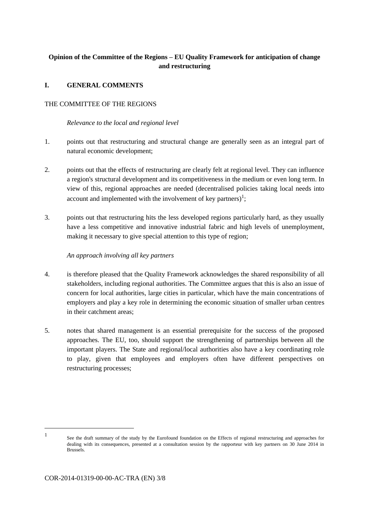## **Opinion of the Committee of the Regions – EU Quality Framework for anticipation of change and restructuring**

#### **I. GENERAL COMMENTS**

#### THE COMMITTEE OF THE REGIONS

#### *Relevance to the local and regional level*

- 1. points out that restructuring and structural change are generally seen as an integral part of natural economic development;
- 2. points out that the effects of restructuring are clearly felt at regional level. They can influence a region's structural development and its competitiveness in the medium or even long term. In view of this, regional approaches are needed (decentralised policies taking local needs into account and implemented with the involvement of key partners)<sup>1</sup>;
- 3. points out that restructuring hits the less developed regions particularly hard, as they usually have a less competitive and innovative industrial fabric and high levels of unemployment, making it necessary to give special attention to this type of region;

#### *An approach involving all key partners*

- 4. is therefore pleased that the Quality Framework acknowledges the shared responsibility of all stakeholders, including regional authorities. The Committee argues that this is also an issue of concern for local authorities, large cities in particular, which have the main concentrations of employers and play a key role in determining the economic situation of smaller urban centres in their catchment areas;
- 5. notes that shared management is an essential prerequisite for the success of the proposed approaches. The EU, too, should support the strengthening of partnerships between all the important players. The State and regional/local authorities also have a key coordinating role to play, given that employees and employers often have different perspectives on restructuring processes;

1

See the draft summary of the study by the Eurofound foundation on the Effects of regional restructuring and approaches for dealing with its consequences, presented at a consultation session by the rapporteur with key partners on 30 June 2014 in Brussels.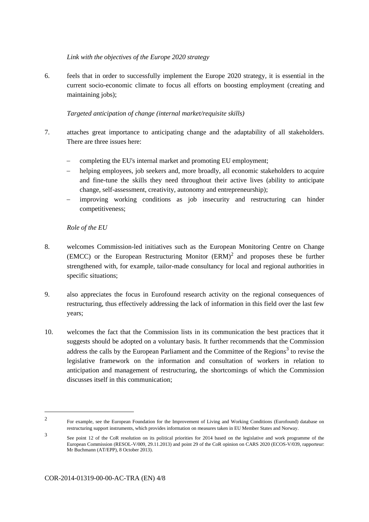*Link with the objectives of the Europe 2020 strategy*

6. feels that in order to successfully implement the Europe 2020 strategy, it is essential in the current socio-economic climate to focus all efforts on boosting employment (creating and maintaining jobs);

#### *Targeted anticipation of change (internal market/requisite skills)*

- 7. attaches great importance to anticipating change and the adaptability of all stakeholders. There are three issues here:
	- completing the EU's internal market and promoting EU employment;
	- helping employees, job seekers and, more broadly, all economic stakeholders to acquire and fine-tune the skills they need throughout their active lives (ability to anticipate change, self-assessment, creativity, autonomy and entrepreneurship);
	- improving working conditions as job insecurity and restructuring can hinder competitiveness;

#### *Role of the EU*

- 8. welcomes Commission-led initiatives such as the European Monitoring Centre on Change (EMCC) or the European Restructuring Monitor  $(ERM)^2$  and proposes these be further strengthened with, for example, tailor-made consultancy for local and regional authorities in specific situations;
- 9. also appreciates the focus in Eurofound research activity on the regional consequences of restructuring, thus effectively addressing the lack of information in this field over the last few years;
- 10. welcomes the fact that the Commission lists in its communication the best practices that it suggests should be adopted on a voluntary basis. It further recommends that the Commission address the calls by the European Parliament and the Committee of the Regions<sup>3</sup> to revise the legislative framework on the information and consultation of workers in relation to anticipation and management of restructuring, the shortcomings of which the Commission discusses itself in this communication;

 $\mathcal{L}$ For example, see the European Foundation for the Improvement of Living and Working Conditions (Eurofound) database on restructuring support instruments, which provides information on measures taken in EU Member States and Norway.

<sup>3</sup> See point 12 of the CoR resolution on its political priorities for 2014 based on the legislative and work programme of the European Commission (RESOL-V/009, 29.11.2013) and point 29 of the CoR opinion on CARS 2020 (ECOS-V/039, rapporteur: Mr Buchmann (AT/EPP), 8 October 2013).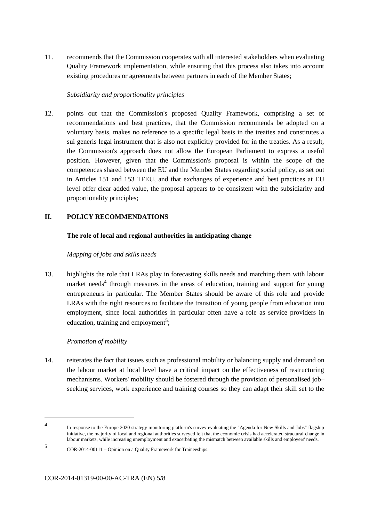11. recommends that the Commission cooperates with all interested stakeholders when evaluating Quality Framework implementation, while ensuring that this process also takes into account existing procedures or agreements between partners in each of the Member States;

#### *Subsidiarity and proportionality principles*

12. points out that the Commission's proposed Quality Framework, comprising a set of recommendations and best practices, that the Commission recommends be adopted on a voluntary basis, makes no reference to a specific legal basis in the treaties and constitutes a sui generis legal instrument that is also not explicitly provided for in the treaties. As a result, the Commission's approach does not allow the European Parliament to express a useful position. However, given that the Commission's proposal is within the scope of the competences shared between the EU and the Member States regarding social policy, as set out in Articles 151 and 153 TFEU, and that exchanges of experience and best practices at EU level offer clear added value, the proposal appears to be consistent with the subsidiarity and proportionality principles;

#### **II. POLICY RECOMMENDATIONS**

#### **The role of local and regional authorities in anticipating change**

#### *Mapping of jobs and skills needs*

13. highlights the role that LRAs play in forecasting skills needs and matching them with labour market needs<sup>4</sup> through measures in the areas of education, training and support for young entrepreneurs in particular. The Member States should be aware of this role and provide LRAs with the right resources to facilitate the transition of young people from education into employment, since local authorities in particular often have a role as service providers in education, training and employment<sup>5</sup>;

#### *Promotion of mobility*

14. reiterates the fact that issues such as professional mobility or balancing supply and demand on the labour market at local level have a critical impact on the effectiveness of restructuring mechanisms. Workers' mobility should be fostered through the provision of personalised job– seeking services, work experience and training courses so they can adapt their skill set to the

<sup>4</sup> In response to the Europe 2020 strategy monitoring platform's survey evaluating the "Agenda for New Skills and Jobs" flagship initiative, the majority of local and regional authorities surveyed felt that the economic crisis had accelerated structural change in labour markets, while increasing unemployment and exacerbating the mismatch between available skills and employers' needs.

<sup>5</sup> COR-2014-00111 – Opinion on a Quality Framework for Traineeships.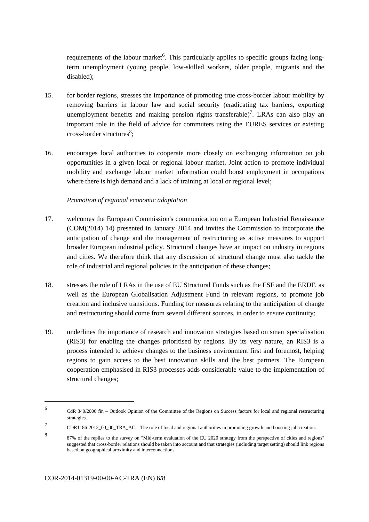requirements of the labour market<sup>6</sup>. This particularly applies to specific groups facing longterm unemployment (young people, low-skilled workers, older people, migrants and the disabled);

- 15. for border regions, stresses the importance of promoting true cross-border labour mobility by removing barriers in labour law and social security (eradicating tax barriers, exporting unemployment benefits and making pension rights transferable)<sup>7</sup>. LRAs can also play an important role in the field of advice for commuters using the EURES services or existing cross-border structures<sup>8</sup>;
- 16. encourages local authorities to cooperate more closely on exchanging information on job opportunities in a given local or regional labour market. Joint action to promote individual mobility and exchange labour market information could boost employment in occupations where there is high demand and a lack of training at local or regional level;

#### *Promotion of regional economic adaptation*

- 17. welcomes the European Commission's communication on a European Industrial Renaissance (COM(2014) 14) presented in January 2014 and invites the Commission to incorporate the anticipation of change and the management of restructuring as active measures to support broader European industrial policy. Structural changes have an impact on industry in regions and cities. We therefore think that any discussion of structural change must also tackle the role of industrial and regional policies in the anticipation of these changes;
- 18. stresses the role of LRAs in the use of EU Structural Funds such as the ESF and the ERDF, as well as the European Globalisation Adjustment Fund in relevant regions, to promote job creation and inclusive transitions. Funding for measures relating to the anticipation of change and restructuring should come from several different sources, in order to ensure continuity;
- 19. underlines the importance of research and innovation strategies based on smart specialisation (RIS3) for enabling the changes prioritised by regions. By its very nature, an RIS3 is a process intended to achieve changes to the business environment first and foremost, helping regions to gain access to the best innovation skills and the best partners. The European cooperation emphasised in RIS3 processes adds considerable value to the implementation of structural changes;

<sup>6</sup> CdR 340/2006 fin – Outlook Opinion of the Committee of the Regions on Success factors for local and regional restructuring strategies.

<sup>7</sup> CDR1186-2012\_00\_00\_TRA\_AC – The role of local and regional authorities in promoting growth and boosting job creation.

<sup>8</sup> 87% of the replies to the survey on "Mid-term evaluation of the EU 2020 strategy from the perspective of cities and regions" suggested that cross-border relations should be taken into account and that strategies (including target setting) should link regions based on geographical proximity and interconnections.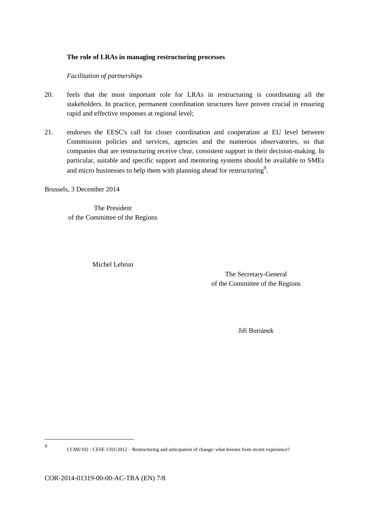#### **The role of LRAs in managing restructuring processes**

#### *Facilitation of partnerships*

- 20. feels that the most important role for LRAs in restructuring is coordinating all the stakeholders. In practice, permanent coordination structures have proven crucial in ensuring rapid and effective responses at regional level;
- 21. endorses the EESC's call for closer coordination and cooperation at EU level between Commission policies and services, agencies and the numerous observatories, so that companies that are restructuring receive clear, consistent support in their decision-making. In particular, suitable and specific support and mentoring systems should be available to SMEs and micro businesses to help them with planning ahead for restructuring<sup>9</sup>.

Brussels, 3 December 2014

The President of the Committee of the Regions

Michel Lebrun

The Secretary-General of the Committee of the Regions

Jiří Buriánek

9 CCMI/102 - CESE 1591/2012 – Restructuring and anticipation of change: what lessons from recent experience?

COR-2014-01319-00-00-AC-TRA (EN) 7/8